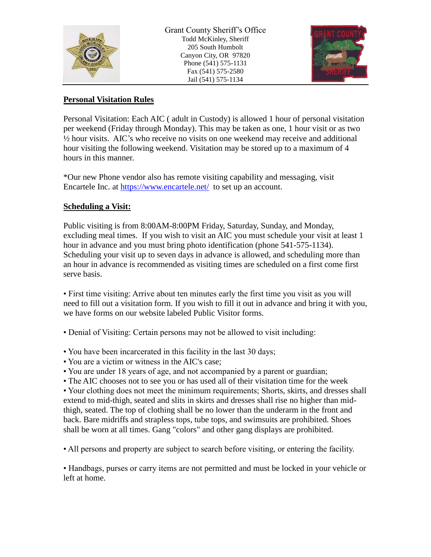

Grant County Sheriff's Office Todd McKinley, Sheriff 205 South Humbolt Canyon City, OR 97820 Phone (541) 575-1131 Fax (541) 575-2580 Jail (541) 575-1134



#### **Personal Visitation Rules**

Personal Visitation: Each AIC ( adult in Custody) is allowed 1 hour of personal visitation per weekend (Friday through Monday). This may be taken as one, 1 hour visit or as two  $\frac{1}{2}$  hour visits. AIC's who receive no visits on one weekend may receive and additional hour visiting the following weekend. Visitation may be stored up to a maximum of 4 hours in this manner.

\*Our new Phone vendor also has remote visiting capability and messaging, visit Encartele Inc. at<https://www.encartele.net/>to set up an account.

#### **Scheduling a Visit:**

Public visiting is from 8:00AM-8:00PM Friday, Saturday, Sunday, and Monday, excluding meal times. If you wish to visit an AIC you must schedule your visit at least 1 hour in advance and you must bring photo identification (phone 541-575-1134). Scheduling your visit up to seven days in advance is allowed, and scheduling more than an hour in advance is recommended as visiting times are scheduled on a first come first serve basis.

• First time visiting: Arrive about ten minutes early the first time you visit as you will need to fill out a visitation form. If you wish to fill it out in advance and bring it with you, we have forms on our website labeled Public Visitor forms.

• Denial of Visiting: Certain persons may not be allowed to visit including:

- You have been incarcerated in this facility in the last 30 days;
- You are a victim or witness in the AIC's case;
- You are under 18 years of age, and not accompanied by a parent or guardian;
- The AIC chooses not to see you or has used all of their visitation time for the week

• Your clothing does not meet the minimum requirements; Shorts, skirts, and dresses shall extend to mid-thigh, seated and slits in skirts and dresses shall rise no higher than midthigh, seated. The top of clothing shall be no lower than the underarm in the front and back. Bare midriffs and strapless tops, tube tops, and swimsuits are prohibited. Shoes shall be worn at all times. Gang "colors" and other gang displays are prohibited.

• All persons and property are subject to search before visiting, or entering the facility.

• Handbags, purses or carry items are not permitted and must be locked in your vehicle or left at home.